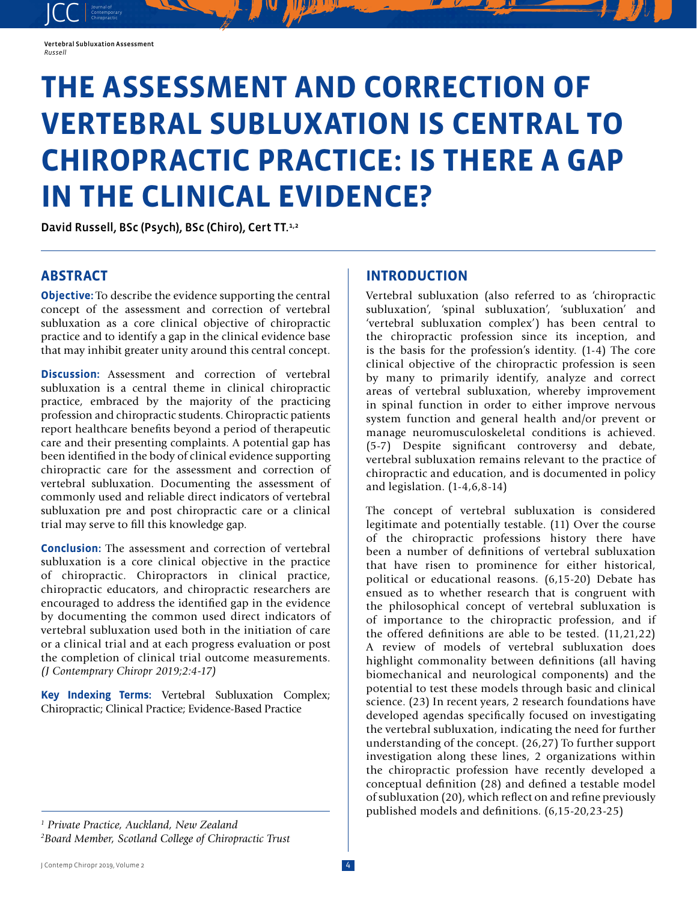JCC contemporary Contemporary

# **THE ASSESSMENT AND CORRECTION OF VERTEBRAL SUBLUXATION IS CENTRAL TO CHIROPRACTIC PRACTICE: IS THERE A GAP IN THE CLINICAL EVIDENCE?**

David Russell, BSc (Psych), BSc (Chiro), Cert TT.<sup>1,2</sup>

## **ABSTRACT**

**Objective:** To describe the evidence supporting the central concept of the assessment and correction of vertebral subluxation as a core clinical objective of chiropractic practice and to identify a gap in the clinical evidence base that may inhibit greater unity around this central concept.

**Discussion:** Assessment and correction of vertebral subluxation is a central theme in clinical chiropractic practice, embraced by the majority of the practicing profession and chiropractic students. Chiropractic patients report healthcare benefits beyond a period of therapeutic care and their presenting complaints. A potential gap has been identified in the body of clinical evidence supporting chiropractic care for the assessment and correction of vertebral subluxation. Documenting the assessment of commonly used and reliable direct indicators of vertebral subluxation pre and post chiropractic care or a clinical trial may serve to fill this knowledge gap.

**Conclusion:** The assessment and correction of vertebral subluxation is a core clinical objective in the practice of chiropractic. Chiropractors in clinical practice, chiropractic educators, and chiropractic researchers are encouraged to address the identified gap in the evidence by documenting the common used direct indicators of vertebral subluxation used both in the initiation of care or a clinical trial and at each progress evaluation or post the completion of clinical trial outcome measurements. *(J Contemprary Chiropr 2019;2:4-17)* 

**Key Indexing Terms:** Vertebral Subluxation Complex; Chiropractic; Clinical Practice; Evidence-Based Practice

#### *1 Private Practice, Auckland, New Zealand 2 Board Member, Scotland College of Chiropractic Trust*

## **INTRODUCTION**

Vertebral subluxation (also referred to as 'chiropractic subluxation', 'spinal subluxation', 'subluxation' and 'vertebral subluxation complex') has been central to the chiropractic profession since its inception, and is the basis for the profession's identity. (1-4) The core clinical objective of the chiropractic profession is seen by many to primarily identify, analyze and correct areas of vertebral subluxation, whereby improvement in spinal function in order to either improve nervous system function and general health and/or prevent or manage neuromusculoskeletal conditions is achieved. (5-7) Despite significant controversy and debate, vertebral subluxation remains relevant to the practice of chiropractic and education, and is documented in policy and legislation. (1-4,6,8-14)

The concept of vertebral subluxation is considered legitimate and potentially testable. (11) Over the course of the chiropractic professions history there have been a number of definitions of vertebral subluxation that have risen to prominence for either historical, political or educational reasons. (6,15-20) Debate has ensued as to whether research that is congruent with the philosophical concept of vertebral subluxation is of importance to the chiropractic profession, and if the offered definitions are able to be tested. (11,21,22) A review of models of vertebral subluxation does highlight commonality between definitions (all having biomechanical and neurological components) and the potential to test these models through basic and clinical science. (23) In recent years, 2 research foundations have developed agendas specifically focused on investigating the vertebral subluxation, indicating the need for further understanding of the concept. (26,27) To further support investigation along these lines, 2 organizations within the chiropractic profession have recently developed a conceptual definition (28) and defined a testable model of subluxation (20), which reflect on and refine previously published models and definitions. (6,15-20,23-25)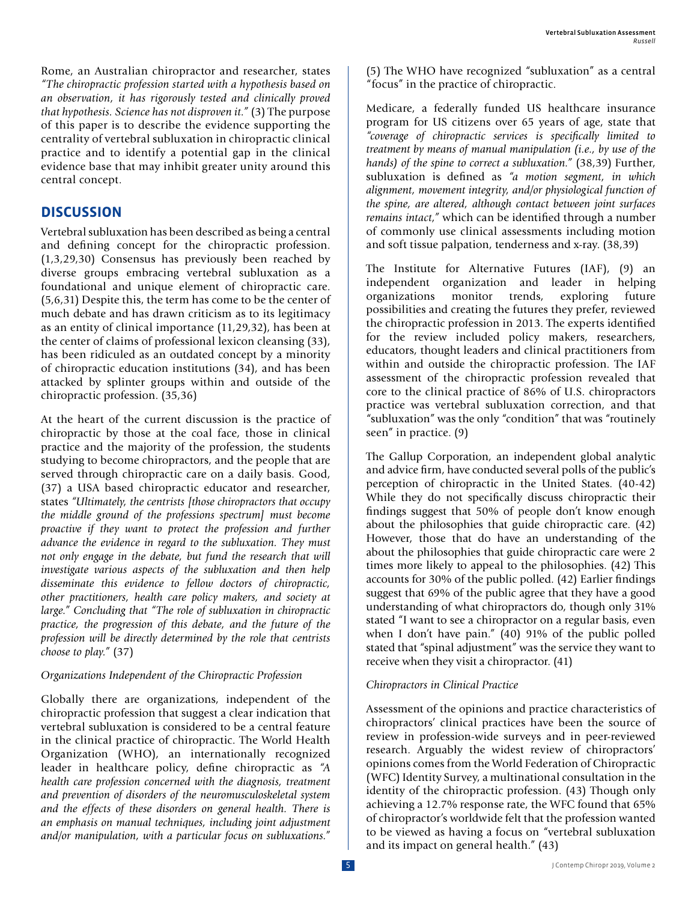Rome, an Australian chiropractor and researcher, states *"The chiropractic profession started with a hypothesis based on an observation, it has rigorously tested and clinically proved that hypothesis. Science has not disproven it."* (3) The purpose of this paper is to describe the evidence supporting the centrality of vertebral subluxation in chiropractic clinical practice and to identify a potential gap in the clinical evidence base that may inhibit greater unity around this central concept.

## **DISCUSSION**

Vertebral subluxation has been described as being a central and defining concept for the chiropractic profession. (1,3,29,30) Consensus has previously been reached by diverse groups embracing vertebral subluxation as a foundational and unique element of chiropractic care. (5,6,31) Despite this, the term has come to be the center of much debate and has drawn criticism as to its legitimacy as an entity of clinical importance (11,29,32), has been at the center of claims of professional lexicon cleansing (33), has been ridiculed as an outdated concept by a minority of chiropractic education institutions (34), and has been attacked by splinter groups within and outside of the chiropractic profession. (35,36)

At the heart of the current discussion is the practice of chiropractic by those at the coal face, those in clinical practice and the majority of the profession, the students studying to become chiropractors, and the people that are served through chiropractic care on a daily basis. Good, (37) a USA based chiropractic educator and researcher, states *"Ultimately, the centrists [those chiropractors that occupy the middle ground of the professions spectrum] must become proactive if they want to protect the profession and further advance the evidence in regard to the subluxation. They must not only engage in the debate, but fund the research that will investigate various aspects of the subluxation and then help disseminate this evidence to fellow doctors of chiropractic, other practitioners, health care policy makers, and society at large." Concluding that "The role of subluxation in chiropractic practice, the progression of this debate, and the future of the profession will be directly determined by the role that centrists choose to play."* (37)

#### *Organizations Independent of the Chiropractic Profession*

Globally there are organizations, independent of the chiropractic profession that suggest a clear indication that vertebral subluxation is considered to be a central feature in the clinical practice of chiropractic. The World Health Organization (WHO), an internationally recognized leader in healthcare policy, define chiropractic as *"A health care profession concerned with the diagnosis, treatment and prevention of disorders of the neuromusculoskeletal system and the effects of these disorders on general health. There is an emphasis on manual techniques, including joint adjustment and/or manipulation, with a particular focus on subluxations."* 

(5) The WHO have recognized "subluxation" as a central "focus" in the practice of chiropractic.

Medicare, a federally funded US healthcare insurance program for US citizens over 65 years of age, state that *"coverage of chiropractic services is specifically limited to treatment by means of manual manipulation (i.e., by use of the hands) of the spine to correct a subluxation."* (38,39) Further, subluxation is defined as *"a motion segment, in which alignment, movement integrity, and/or physiological function of the spine, are altered, although contact between joint surfaces remains intact,"* which can be identified through a number of commonly use clinical assessments including motion and soft tissue palpation, tenderness and x-ray. (38,39)

The Institute for Alternative Futures (IAF), (9) an independent organization and leader in helping organizations monitor trends, exploring future possibilities and creating the futures they prefer, reviewed the chiropractic profession in 2013. The experts identified for the review included policy makers, researchers, educators, thought leaders and clinical practitioners from within and outside the chiropractic profession. The IAF assessment of the chiropractic profession revealed that core to the clinical practice of 86% of U.S. chiropractors practice was vertebral subluxation correction, and that "subluxation" was the only "condition" that was "routinely seen" in practice. (9)

The Gallup Corporation, an independent global analytic and advice firm, have conducted several polls of the public's perception of chiropractic in the United States. (40-42) While they do not specifically discuss chiropractic their findings suggest that 50% of people don't know enough about the philosophies that guide chiropractic care. (42) However, those that do have an understanding of the about the philosophies that guide chiropractic care were 2 times more likely to appeal to the philosophies. (42) This accounts for 30% of the public polled. (42) Earlier findings suggest that 69% of the public agree that they have a good understanding of what chiropractors do, though only 31% stated "I want to see a chiropractor on a regular basis, even when I don't have pain." (40) 91% of the public polled stated that "spinal adjustment" was the service they want to receive when they visit a chiropractor. (41)

#### *Chiropractors in Clinical Practice*

Assessment of the opinions and practice characteristics of chiropractors' clinical practices have been the source of review in profession-wide surveys and in peer-reviewed research. Arguably the widest review of chiropractors' opinions comes from the World Federation of Chiropractic (WFC) Identity Survey, a multinational consultation in the identity of the chiropractic profession. (43) Though only achieving a 12.7% response rate, the WFC found that 65% of chiropractor's worldwide felt that the profession wanted to be viewed as having a focus on "vertebral subluxation and its impact on general health." (43)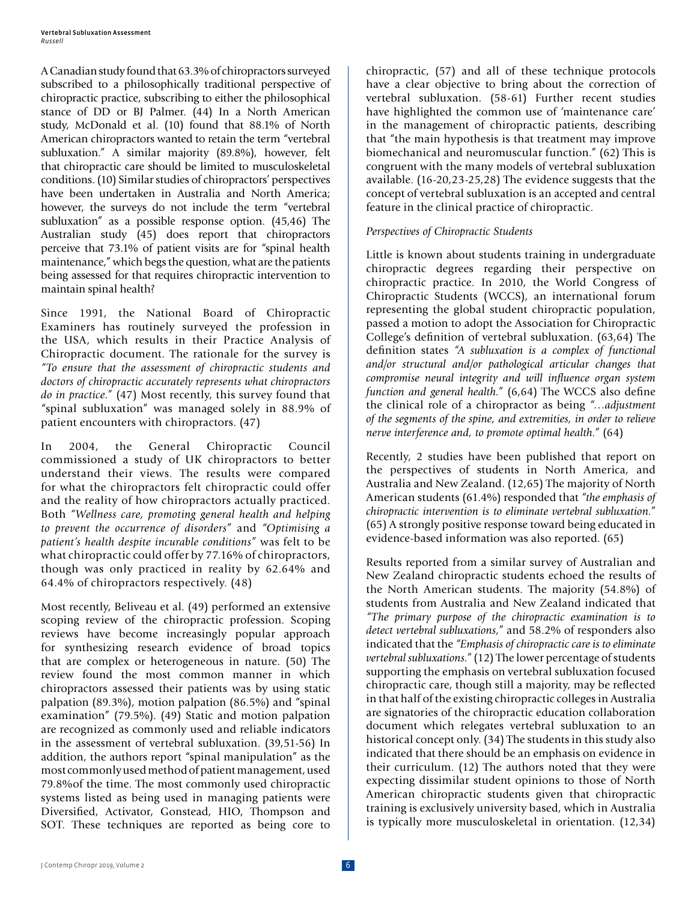A Canadian study found that 63.3% of chiropractors surveyed subscribed to a philosophically traditional perspective of chiropractic practice, subscribing to either the philosophical stance of DD or BJ Palmer. (44) In a North American study, McDonald et al. (10) found that 88.1% of North American chiropractors wanted to retain the term "vertebral subluxation." A similar majority (89.8%), however, felt that chiropractic care should be limited to musculoskeletal conditions. (10) Similar studies of chiropractors' perspectives have been undertaken in Australia and North America; however, the surveys do not include the term "vertebral subluxation" as a possible response option. (45,46) The Australian study (45) does report that chiropractors perceive that 73.1% of patient visits are for "spinal health maintenance," which begs the question, what are the patients being assessed for that requires chiropractic intervention to maintain spinal health?

Since 1991, the National Board of Chiropractic Examiners has routinely surveyed the profession in the USA, which results in their Practice Analysis of Chiropractic document. The rationale for the survey is *"To ensure that the assessment of chiropractic students and doctors of chiropractic accurately represents what chiropractors do in practice."* (47) Most recently, this survey found that "spinal subluxation" was managed solely in 88.9% of patient encounters with chiropractors. (47)

In 2004, the General Chiropractic Council commissioned a study of UK chiropractors to better understand their views. The results were compared for what the chiropractors felt chiropractic could offer and the reality of how chiropractors actually practiced. Both *"Wellness care, promoting general health and helping to prevent the occurrence of disorders"* and *"Optimising a patient's health despite incurable conditions"* was felt to be what chiropractic could offer by 77.16% of chiropractors, though was only practiced in reality by 62.64% and 64.4% of chiropractors respectively. (48)

Most recently, Beliveau et al. (49) performed an extensive scoping review of the chiropractic profession. Scoping reviews have become increasingly popular approach for synthesizing research evidence of broad topics that are complex or heterogeneous in nature. (50) The review found the most common manner in which chiropractors assessed their patients was by using static palpation (89.3%), motion palpation (86.5%) and "spinal examination" (79.5%). (49) Static and motion palpation are recognized as commonly used and reliable indicators in the assessment of vertebral subluxation. (39,51-56) In addition, the authors report "spinal manipulation" as the most commonly used method of patient management, used 79.8%of the time. The most commonly used chiropractic systems listed as being used in managing patients were Diversified, Activator, Gonstead, HIO, Thompson and SOT. These techniques are reported as being core to chiropractic, (57) and all of these technique protocols have a clear objective to bring about the correction of vertebral subluxation. (58-61) Further recent studies have highlighted the common use of 'maintenance care' in the management of chiropractic patients, describing that "the main hypothesis is that treatment may improve biomechanical and neuromuscular function." (62) This is congruent with the many models of vertebral subluxation available. (16-20,23-25,28) The evidence suggests that the concept of vertebral subluxation is an accepted and central feature in the clinical practice of chiropractic.

#### *Perspectives of Chiropractic Students*

Little is known about students training in undergraduate chiropractic degrees regarding their perspective on chiropractic practice. In 2010, the World Congress of Chiropractic Students (WCCS), an international forum representing the global student chiropractic population, passed a motion to adopt the Association for Chiropractic College's definition of vertebral subluxation. (63,64) The definition states *"A subluxation is a complex of functional and/or structural and/or pathological articular changes that compromise neural integrity and will influence organ system function and general health."* (6,64) The WCCS also define the clinical role of a chiropractor as being *"…adjustment of the segments of the spine, and extremities, in order to relieve nerve interference and, to promote optimal health."* (64)

Recently, 2 studies have been published that report on the perspectives of students in North America, and Australia and New Zealand. (12,65) The majority of North American students (61.4%) responded that *"the emphasis of chiropractic intervention is to eliminate vertebral subluxation."*  (65) A strongly positive response toward being educated in evidence-based information was also reported. (65)

Results reported from a similar survey of Australian and New Zealand chiropractic students echoed the results of the North American students. The majority (54.8%) of students from Australia and New Zealand indicated that *"The primary purpose of the chiropractic examination is to detect vertebral subluxations,"* and 58.2% of responders also indicated that the *"Emphasis of chiropractic care is to eliminate vertebral subluxations."* (12) The lower percentage of students supporting the emphasis on vertebral subluxation focused chiropractic care, though still a majority, may be reflected in that half of the existing chiropractic colleges in Australia are signatories of the chiropractic education collaboration document which relegates vertebral subluxation to an historical concept only. (34) The students in this study also indicated that there should be an emphasis on evidence in their curriculum. (12) The authors noted that they were expecting dissimilar student opinions to those of North American chiropractic students given that chiropractic training is exclusively university based, which in Australia is typically more musculoskeletal in orientation. (12,34)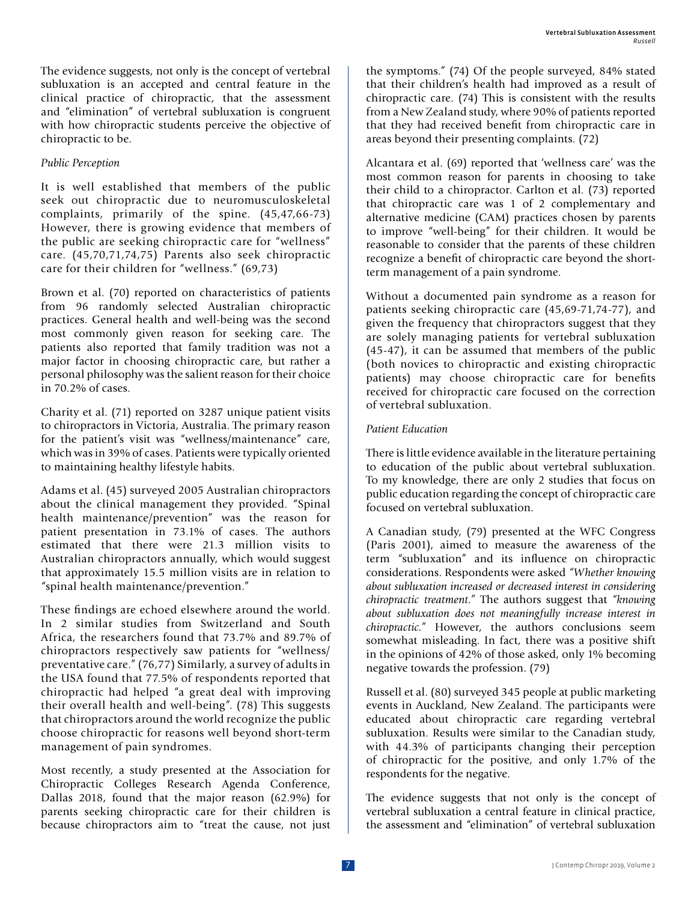The evidence suggests, not only is the concept of vertebral subluxation is an accepted and central feature in the clinical practice of chiropractic, that the assessment and "elimination" of vertebral subluxation is congruent with how chiropractic students perceive the objective of chiropractic to be.

#### *Public Perception*

It is well established that members of the public seek out chiropractic due to neuromusculoskeletal complaints, primarily of the spine. (45,47,66-73) However, there is growing evidence that members of the public are seeking chiropractic care for "wellness" care. (45,70,71,74,75) Parents also seek chiropractic care for their children for "wellness." (69,73)

Brown et al. (70) reported on characteristics of patients from 96 randomly selected Australian chiropractic practices. General health and well-being was the second most commonly given reason for seeking care. The patients also reported that family tradition was not a major factor in choosing chiropractic care, but rather a personal philosophy was the salient reason for their choice in 70.2% of cases.

Charity et al. (71) reported on 3287 unique patient visits to chiropractors in Victoria, Australia. The primary reason for the patient's visit was "wellness/maintenance" care, which was in 39% of cases. Patients were typically oriented to maintaining healthy lifestyle habits.

Adams et al. (45) surveyed 2005 Australian chiropractors about the clinical management they provided. "Spinal health maintenance/prevention" was the reason for patient presentation in 73.1% of cases. The authors estimated that there were 21.3 million visits to Australian chiropractors annually, which would suggest that approximately 15.5 million visits are in relation to "spinal health maintenance/prevention."

These findings are echoed elsewhere around the world. In 2 similar studies from Switzerland and South Africa, the researchers found that 73.7% and 89.7% of chiropractors respectively saw patients for "wellness/ preventative care." (76,77) Similarly, a survey of adults in the USA found that 77.5% of respondents reported that chiropractic had helped "a great deal with improving their overall health and well-being". (78) This suggests that chiropractors around the world recognize the public choose chiropractic for reasons well beyond short-term management of pain syndromes.

Most recently, a study presented at the Association for Chiropractic Colleges Research Agenda Conference, Dallas 2018, found that the major reason (62.9%) for parents seeking chiropractic care for their children is because chiropractors aim to "treat the cause, not just

the symptoms." (74) Of the people surveyed, 84% stated that their children's health had improved as a result of chiropractic care. (74) This is consistent with the results from a New Zealand study, where 90% of patients reported that they had received benefit from chiropractic care in areas beyond their presenting complaints. (72)

Alcantara et al. (69) reported that 'wellness care' was the most common reason for parents in choosing to take their child to a chiropractor. Carlton et al. (73) reported that chiropractic care was 1 of 2 complementary and alternative medicine (CAM) practices chosen by parents to improve "well-being" for their children. It would be reasonable to consider that the parents of these children recognize a benefit of chiropractic care beyond the shortterm management of a pain syndrome.

Without a documented pain syndrome as a reason for patients seeking chiropractic care (45,69-71,74-77), and given the frequency that chiropractors suggest that they are solely managing patients for vertebral subluxation (45-47), it can be assumed that members of the public (both novices to chiropractic and existing chiropractic patients) may choose chiropractic care for benefits received for chiropractic care focused on the correction of vertebral subluxation.

#### *Patient Education*

There is little evidence available in the literature pertaining to education of the public about vertebral subluxation. To my knowledge, there are only 2 studies that focus on public education regarding the concept of chiropractic care focused on vertebral subluxation.

A Canadian study, (79) presented at the WFC Congress (Paris 2001), aimed to measure the awareness of the term "subluxation" and its influence on chiropractic considerations. Respondents were asked *"Whether knowing about subluxation increased or decreased interest in considering chiropractic treatment."* The authors suggest that *"knowing about subluxation does not meaningfully increase interest in chiropractic."* However, the authors conclusions seem somewhat misleading. In fact, there was a positive shift in the opinions of 42% of those asked, only 1% becoming negative towards the profession. (79)

Russell et al. (80) surveyed 345 people at public marketing events in Auckland, New Zealand. The participants were educated about chiropractic care regarding vertebral subluxation. Results were similar to the Canadian study, with 44.3% of participants changing their perception of chiropractic for the positive, and only 1.7% of the respondents for the negative.

The evidence suggests that not only is the concept of vertebral subluxation a central feature in clinical practice, the assessment and "elimination" of vertebral subluxation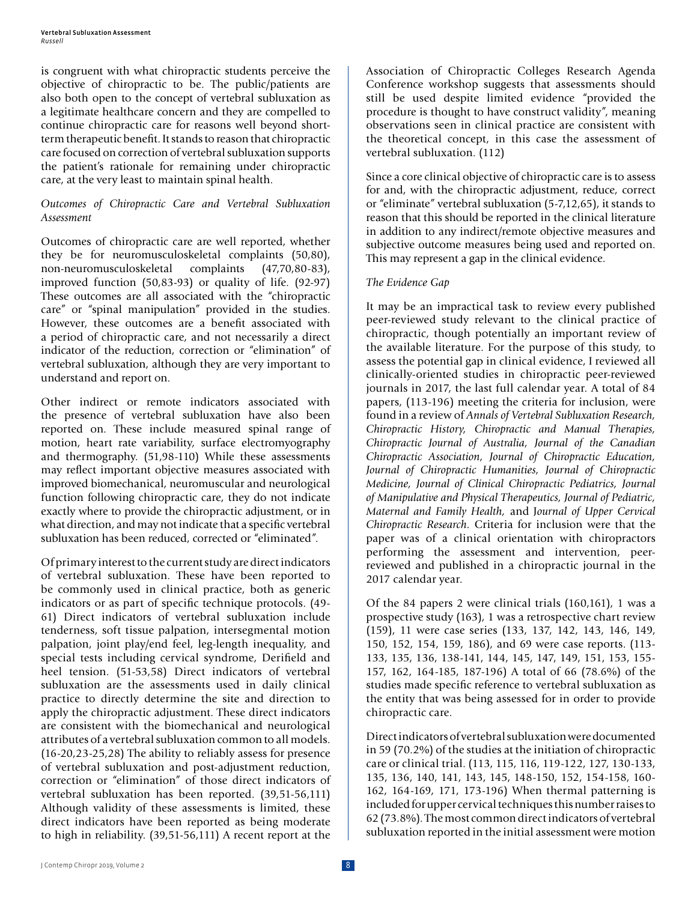is congruent with what chiropractic students perceive the objective of chiropractic to be. The public/patients are also both open to the concept of vertebral subluxation as a legitimate healthcare concern and they are compelled to continue chiropractic care for reasons well beyond shortterm therapeutic benefit. It stands to reason that chiropractic care focused on correction of vertebral subluxation supports the patient's rationale for remaining under chiropractic care, at the very least to maintain spinal health.

#### *Outcomes of Chiropractic Care and Vertebral Subluxation Assessment*

Outcomes of chiropractic care are well reported, whether they be for neuromusculoskeletal complaints (50,80), non-neuromusculoskeletal complaints (47,70,80-83), improved function (50,83-93) or quality of life. (92-97) These outcomes are all associated with the "chiropractic care" or "spinal manipulation" provided in the studies. However, these outcomes are a benefit associated with a period of chiropractic care, and not necessarily a direct indicator of the reduction, correction or "elimination" of vertebral subluxation, although they are very important to understand and report on.

Other indirect or remote indicators associated with the presence of vertebral subluxation have also been reported on. These include measured spinal range of motion, heart rate variability, surface electromyography and thermography. (51,98-110) While these assessments may reflect important objective measures associated with improved biomechanical, neuromuscular and neurological function following chiropractic care, they do not indicate exactly where to provide the chiropractic adjustment, or in what direction, and may not indicate that a specific vertebral subluxation has been reduced, corrected or "eliminated".

Of primary interest to the current study are direct indicators of vertebral subluxation. These have been reported to be commonly used in clinical practice, both as generic indicators or as part of specific technique protocols. (49- 61) Direct indicators of vertebral subluxation include tenderness, soft tissue palpation, intersegmental motion palpation, joint play/end feel, leg-length inequality, and special tests including cervical syndrome, Derifield and heel tension. (51-53,58) Direct indicators of vertebral subluxation are the assessments used in daily clinical practice to directly determine the site and direction to apply the chiropractic adjustment. These direct indicators are consistent with the biomechanical and neurological attributes of a vertebral subluxation common to all models. (16-20,23-25,28) The ability to reliably assess for presence of vertebral subluxation and post-adjustment reduction, correction or "elimination" of those direct indicators of vertebral subluxation has been reported. (39,51-56,111) Although validity of these assessments is limited, these direct indicators have been reported as being moderate to high in reliability. (39,51-56,111) A recent report at the

Association of Chiropractic Colleges Research Agenda Conference workshop suggests that assessments should still be used despite limited evidence "provided the procedure is thought to have construct validity", meaning observations seen in clinical practice are consistent with the theoretical concept, in this case the assessment of vertebral subluxation. (112)

Since a core clinical objective of chiropractic care is to assess for and, with the chiropractic adjustment, reduce, correct or "eliminate" vertebral subluxation (5-7,12,65), it stands to reason that this should be reported in the clinical literature in addition to any indirect/remote objective measures and subjective outcome measures being used and reported on. This may represent a gap in the clinical evidence.

#### *The Evidence Gap*

It may be an impractical task to review every published peer-reviewed study relevant to the clinical practice of chiropractic, though potentially an important review of the available literature. For the purpose of this study, to assess the potential gap in clinical evidence, I reviewed all clinically-oriented studies in chiropractic peer-reviewed journals in 2017, the last full calendar year. A total of 84 papers, (113-196) meeting the criteria for inclusion, were found in a review of *Annals of Vertebral Subluxation Research, Chiropractic History, Chiropractic and Manual Therapies, Chiropractic Journal of Australia, Journal of the Canadian Chiropractic Association, Journal of Chiropractic Education, Journal of Chiropractic Humanities, Journal of Chiropractic Medicine, Journal of Clinical Chiropractic Pediatrics, Journal of Manipulative and Physical Therapeutics, Journal of Pediatric, Maternal and Family Health,* and J*ournal of Upper Cervical Chiropractic Research.* Criteria for inclusion were that the paper was of a clinical orientation with chiropractors performing the assessment and intervention, peerreviewed and published in a chiropractic journal in the 2017 calendar year.

Of the 84 papers 2 were clinical trials (160,161), 1 was a prospective study (163), 1 was a retrospective chart review (159), 11 were case series (133, 137, 142, 143, 146, 149, 150, 152, 154, 159, 186), and 69 were case reports. (113- 133, 135, 136, 138-141, 144, 145, 147, 149, 151, 153, 155- 157, 162, 164-185, 187-196) A total of 66 (78.6%) of the studies made specific reference to vertebral subluxation as the entity that was being assessed for in order to provide chiropractic care.

Direct indicators of vertebral subluxation were documented in 59 (70.2%) of the studies at the initiation of chiropractic care or clinical trial. (113, 115, 116, 119-122, 127, 130-133, 135, 136, 140, 141, 143, 145, 148-150, 152, 154-158, 160- 162, 164-169, 171, 173-196) When thermal patterning is included for upper cervical techniques this number raises to 62 (73.8%). The most common direct indicators of vertebral subluxation reported in the initial assessment were motion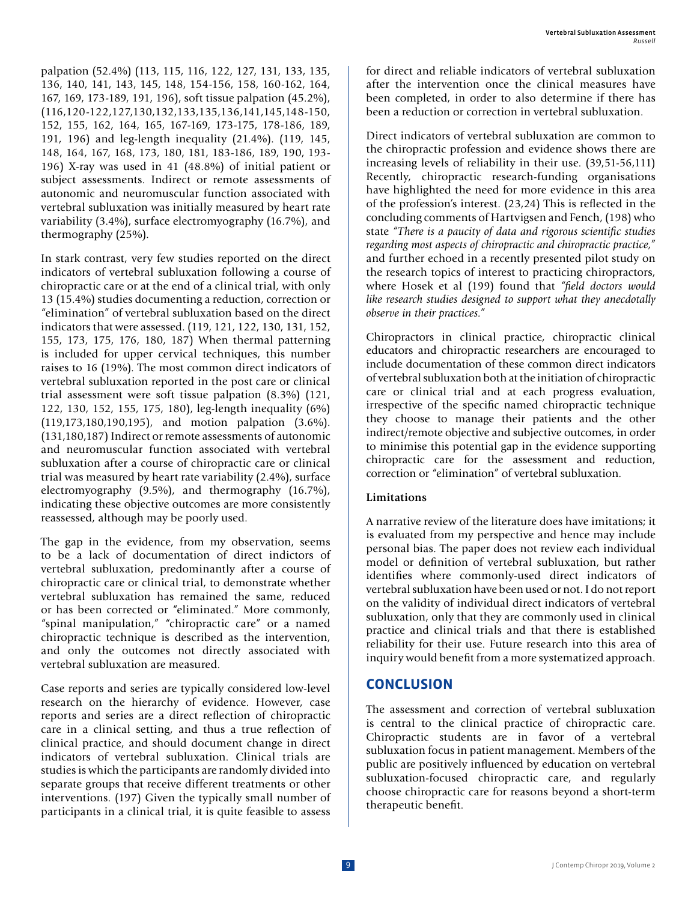palpation (52.4%) (113, 115, 116, 122, 127, 131, 133, 135, 136, 140, 141, 143, 145, 148, 154-156, 158, 160-162, 164, 167, 169, 173-189, 191, 196), soft tissue palpation (45.2%), (116,120-122,127,130,132,133,135,136,141,145,148-150, 152, 155, 162, 164, 165, 167-169, 173-175, 178-186, 189, 191, 196) and leg-length inequality (21.4%). (119, 145, 148, 164, 167, 168, 173, 180, 181, 183-186, 189, 190, 193- 196) X-ray was used in 41 (48.8%) of initial patient or subject assessments. Indirect or remote assessments of autonomic and neuromuscular function associated with vertebral subluxation was initially measured by heart rate variability (3.4%), surface electromyography (16.7%), and thermography (25%).

In stark contrast, very few studies reported on the direct indicators of vertebral subluxation following a course of chiropractic care or at the end of a clinical trial, with only 13 (15.4%) studies documenting a reduction, correction or "elimination" of vertebral subluxation based on the direct indicators that were assessed. (119, 121, 122, 130, 131, 152, 155, 173, 175, 176, 180, 187) When thermal patterning is included for upper cervical techniques, this number raises to 16 (19%). The most common direct indicators of vertebral subluxation reported in the post care or clinical trial assessment were soft tissue palpation (8.3%) (121, 122, 130, 152, 155, 175, 180), leg-length inequality (6%) (119,173,180,190,195), and motion palpation (3.6%). (131,180,187) Indirect or remote assessments of autonomic and neuromuscular function associated with vertebral subluxation after a course of chiropractic care or clinical trial was measured by heart rate variability (2.4%), surface electromyography (9.5%), and thermography (16.7%), indicating these objective outcomes are more consistently reassessed, although may be poorly used.

The gap in the evidence, from my observation, seems to be a lack of documentation of direct indictors of vertebral subluxation, predominantly after a course of chiropractic care or clinical trial, to demonstrate whether vertebral subluxation has remained the same, reduced or has been corrected or "eliminated." More commonly, "spinal manipulation," "chiropractic care" or a named chiropractic technique is described as the intervention, and only the outcomes not directly associated with vertebral subluxation are measured.

Case reports and series are typically considered low-level research on the hierarchy of evidence. However, case reports and series are a direct reflection of chiropractic care in a clinical setting, and thus a true reflection of clinical practice, and should document change in direct indicators of vertebral subluxation. Clinical trials are studies is which the participants are randomly divided into separate groups that receive different treatments or other interventions. (197) Given the typically small number of participants in a clinical trial, it is quite feasible to assess

for direct and reliable indicators of vertebral subluxation after the intervention once the clinical measures have been completed, in order to also determine if there has been a reduction or correction in vertebral subluxation.

Direct indicators of vertebral subluxation are common to the chiropractic profession and evidence shows there are increasing levels of reliability in their use. (39,51-56,111) Recently, chiropractic research-funding organisations have highlighted the need for more evidence in this area of the profession's interest. (23,24) This is reflected in the concluding comments of Hartvigsen and Fench, (198) who state *"There is a paucity of data and rigorous scientific studies regarding most aspects of chiropractic and chiropractic practice,"* and further echoed in a recently presented pilot study on the research topics of interest to practicing chiropractors, where Hosek et al (199) found that *"field doctors would like research studies designed to support what they anecdotally observe in their practices."* 

Chiropractors in clinical practice, chiropractic clinical educators and chiropractic researchers are encouraged to include documentation of these common direct indicators of vertebral subluxation both at the initiation of chiropractic care or clinical trial and at each progress evaluation, irrespective of the specific named chiropractic technique they choose to manage their patients and the other indirect/remote objective and subjective outcomes, in order to minimise this potential gap in the evidence supporting chiropractic care for the assessment and reduction, correction or "elimination" of vertebral subluxation.

#### **Limitations**

A narrative review of the literature does have imitations; it is evaluated from my perspective and hence may include personal bias. The paper does not review each individual model or definition of vertebral subluxation, but rather identifies where commonly-used direct indicators of vertebral subluxation have been used or not. I do not report on the validity of individual direct indicators of vertebral subluxation, only that they are commonly used in clinical practice and clinical trials and that there is established reliability for their use. Future research into this area of inquiry would benefit from a more systematized approach.

### **CONCLUSION**

The assessment and correction of vertebral subluxation is central to the clinical practice of chiropractic care. Chiropractic students are in favor of a vertebral subluxation focus in patient management. Members of the public are positively influenced by education on vertebral subluxation-focused chiropractic care, and regularly choose chiropractic care for reasons beyond a short-term therapeutic benefit.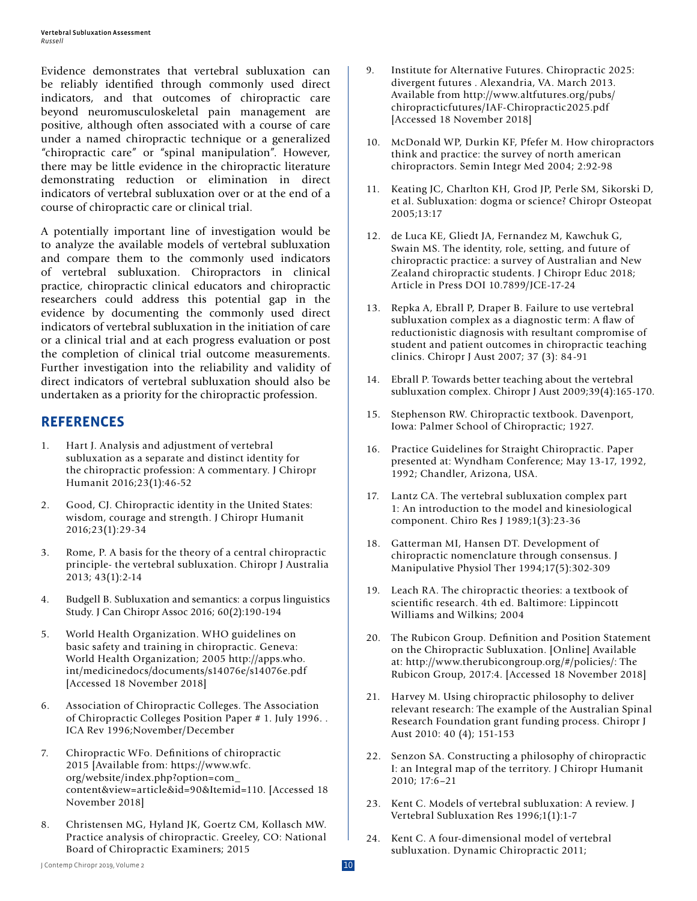Evidence demonstrates that vertebral subluxation can be reliably identified through commonly used direct indicators, and that outcomes of chiropractic care beyond neuromusculoskeletal pain management are positive, although often associated with a course of care under a named chiropractic technique or a generalized "chiropractic care" or "spinal manipulation". However, there may be little evidence in the chiropractic literature demonstrating reduction or elimination in direct indicators of vertebral subluxation over or at the end of a course of chiropractic care or clinical trial.

A potentially important line of investigation would be to analyze the available models of vertebral subluxation and compare them to the commonly used indicators of vertebral subluxation. Chiropractors in clinical practice, chiropractic clinical educators and chiropractic researchers could address this potential gap in the evidence by documenting the commonly used direct indicators of vertebral subluxation in the initiation of care or a clinical trial and at each progress evaluation or post the completion of clinical trial outcome measurements. Further investigation into the reliability and validity of direct indicators of vertebral subluxation should also be undertaken as a priority for the chiropractic profession.

## **REFERENCES**

- 1. Hart J. Analysis and adjustment of vertebral subluxation as a separate and distinct identity for the chiropractic profession: A commentary. J Chiropr Humanit 2016;23(1):46-52
- 2. Good, CJ. Chiropractic identity in the United States: wisdom, courage and strength. J Chiropr Humanit 2016;23(1):29-34
- 3. Rome, P. A basis for the theory of a central chiropractic principle- the vertebral subluxation. Chiropr J Australia 2013; 43(1):2-14
- 4. Budgell B. Subluxation and semantics: a corpus linguistics Study. J Can Chiropr Assoc 2016; 60(2):190-194
- 5. World Health Organization. WHO guidelines on basic safety and training in chiropractic. Geneva: World Health Organization; 2005 http://apps.who. int/medicinedocs/documents/s14076e/s14076e.pdf [Accessed 18 November 2018]
- 6. Association of Chiropractic Colleges. The Association of Chiropractic Colleges Position Paper # 1. July 1996. . ICA Rev 1996;November/December
- 7. Chiropractic WFo. Definitions of chiropractic 2015 [Available from: https://www.wfc. org/website/index.php?option=com\_ content&view=article&id=90&Itemid=110. [Accessed 18 November 2018]
- 8. Christensen MG, Hyland JK, Goertz CM, Kollasch MW. Practice analysis of chiropractic. Greeley, CO: National Board of Chiropractic Examiners; 2015
- 9. Institute for Alternative Futures. Chiropractic 2025: divergent futures . Alexandria, VA. March 2013. Available from http://www.altfutures.org/pubs/ chiropracticfutures/IAF-Chiropractic2025.pdf [Accessed 18 November 2018]
- 10. McDonald WP, Durkin KF, Pfefer M. How chiropractors think and practice: the survey of north american chiropractors. Semin Integr Med 2004; 2:92-98
- Keating JC, Charlton KH, Grod JP, Perle SM, Sikorski D, et al. Subluxation: dogma or science? Chiropr Osteopat 2005;13:17
- 12. de Luca KE, Gliedt JA, Fernandez M, Kawchuk G, Swain MS. The identity, role, setting, and future of chiropractic practice: a survey of Australian and New Zealand chiropractic students. J Chiropr Educ 2018; Article in Press DOI 10.7899/JCE-17-24
- 13. Repka A, Ebrall P, Draper B. Failure to use vertebral subluxation complex as a diagnostic term: A flaw of reductionistic diagnosis with resultant compromise of student and patient outcomes in chiropractic teaching clinics. Chiropr J Aust 2007; 37 (3): 84-91
- 14. Ebrall P. Towards better teaching about the vertebral subluxation complex. Chiropr J Aust 2009;39(4):165-170.
- 15. Stephenson RW. Chiropractic textbook. Davenport, Iowa: Palmer School of Chiropractic; 1927.
- 16. Practice Guidelines for Straight Chiropractic. Paper presented at: Wyndham Conference; May 13-17, 1992, 1992; Chandler, Arizona, USA.
- 17. Lantz CA. The vertebral subluxation complex part 1: An introduction to the model and kinesiological component. Chiro Res J 1989;1(3):23-36
- 18. Gatterman MI, Hansen DT. Development of chiropractic nomenclature through consensus. J Manipulative Physiol Ther 1994;17(5):302-309
- 19. Leach RA. The chiropractic theories: a textbook of scientific research. 4th ed. Baltimore: Lippincott Williams and Wilkins; 2004
- 20. The Rubicon Group. Definition and Position Statement on the Chiropractic Subluxation. [Online] Available at: http://www.therubicongroup.org/#/policies/: The Rubicon Group, 2017:4. [Accessed 18 November 2018]
- 21. Harvey M. Using chiropractic philosophy to deliver relevant research: The example of the Australian Spinal Research Foundation grant funding process. Chiropr J Aust 2010: 40 (4); 151-153
- 22. Senzon SA. Constructing a philosophy of chiropractic I: an Integral map of the territory. J Chiropr Humanit 2010; 17:6–21
- 23. Kent C. Models of vertebral subluxation: A review. J Vertebral Subluxation Res 1996;1(1):1-7
- 24. Kent C. A four-dimensional model of vertebral subluxation. Dynamic Chiropractic 2011;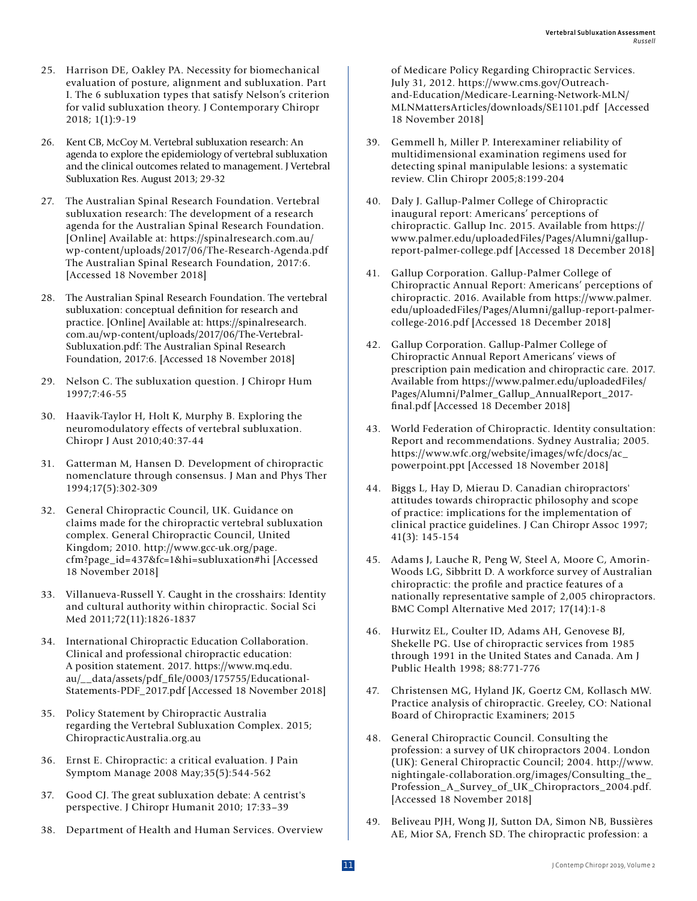- 25. Harrison DE, Oakley PA. Necessity for biomechanical evaluation of posture, alignment and subluxation. Part I. The 6 subluxation types that satisfy Nelson's criterion for valid subluxation theory. J Contemporary Chiropr 2018; 1(1):9-19
- 26. Kent CB, McCoy M. Vertebral subluxation research: An agenda to explore the epidemiology of vertebral subluxation and the clinical outcomes related to management. J Vertebral Subluxation Res. August 2013; 29-32
- 27. The Australian Spinal Research Foundation. Vertebral subluxation research: The development of a research agenda for the Australian Spinal Research Foundation. [Online] Available at: https://spinalresearch.com.au/ wp-content/uploads/2017/06/The-Research-Agenda.pdf The Australian Spinal Research Foundation, 2017:6. [Accessed 18 November 2018]
- 28. The Australian Spinal Research Foundation. The vertebral subluxation: conceptual definition for research and practice. [Online] Available at: https://spinalresearch. com.au/wp-content/uploads/2017/06/The-Vertebral-Subluxation.pdf: The Australian Spinal Research Foundation, 2017:6. [Accessed 18 November 2018]
- 29. Nelson C. The subluxation question. J Chiropr Hum 1997;7:46-55
- 30. Haavik-Taylor H, Holt K, Murphy B. Exploring the neuromodulatory effects of vertebral subluxation. Chiropr J Aust 2010;40:37-44
- 31. Gatterman M, Hansen D. Development of chiropractic nomenclature through consensus. J Man and Phys Ther 1994;17(5):302-309
- 32. General Chiropractic Council, UK. Guidance on claims made for the chiropractic vertebral subluxation complex. General Chiropractic Council, United Kingdom; 2010. http://www.gcc-uk.org/page. cfm?page\_id=437&fc=1&hi=subluxation#hi [Accessed 18 November 2018]
- 33. Villanueva-Russell Y. Caught in the crosshairs: Identity and cultural authority within chiropractic. Social Sci Med 2011;72(11):1826-1837
- 34. International Chiropractic Education Collaboration. Clinical and professional chiropractic education: A position statement. 2017. https://www.mq.edu. au/\_\_data/assets/pdf\_file/0003/175755/Educational-Statements-PDF\_2017.pdf [Accessed 18 November 2018]
- 35. Policy Statement by Chiropractic Australia regarding the Vertebral Subluxation Complex. 2015; ChiropracticAustralia.org.au
- 36. Ernst E. Chiropractic: a critical evaluation. J Pain Symptom Manage 2008 May;35(5):544-562
- 37. Good CJ. The great subluxation debate: A centrist's perspective. J Chiropr Humanit 2010; 17:33–39
- 38. Department of Health and Human Services. Overview

of Medicare Policy Regarding Chiropractic Services. July 31, 2012. https://www.cms.gov/Outreachand-Education/Medicare-Learning-Network-MLN/ MLNMattersArticles/downloads/SE1101.pdf [Accessed 18 November 2018]

- 39. Gemmell h, Miller P. Interexaminer reliability of multidimensional examination regimens used for detecting spinal manipulable lesions: a systematic review. Clin Chiropr 2005;8:199-204
- 40. Daly J. Gallup-Palmer College of Chiropractic inaugural report: Americans' perceptions of chiropractic. Gallup Inc. 2015. Available from https:// www.palmer.edu/uploadedFiles/Pages/Alumni/gallupreport-palmer-college.pdf [Accessed 18 December 2018]
- 41. Gallup Corporation. Gallup-Palmer College of Chiropractic Annual Report: Americans' perceptions of chiropractic. 2016. Available from https://www.palmer. edu/uploadedFiles/Pages/Alumni/gallup-report-palmercollege-2016.pdf [Accessed 18 December 2018]
- 42. Gallup Corporation. Gallup-Palmer College of Chiropractic Annual Report Americans' views of prescription pain medication and chiropractic care. 2017. Available from https://www.palmer.edu/uploadedFiles/ Pages/Alumni/Palmer\_Gallup\_AnnualReport\_2017 final.pdf [Accessed 18 December 2018]
- 43. World Federation of Chiropractic. Identity consultation: Report and recommendations. Sydney Australia; 2005. https://www.wfc.org/website/images/wfc/docs/ac\_ powerpoint.ppt [Accessed 18 November 2018]
- 44. Biggs L, Hay D, Mierau D. Canadian chiropractors' attitudes towards chiropractic philosophy and scope of practice: implications for the implementation of clinical practice guidelines. J Can Chiropr Assoc 1997; 41(3): 145-154
- 45. Adams J, Lauche R, Peng W, Steel A, Moore C, Amorin-Woods LG, Sibbritt D. A workforce survey of Australian chiropractic: the profile and practice features of a nationally representative sample of 2,005 chiropractors. BMC Compl Alternative Med 2017; 17(14):1-8
- 46. Hurwitz EL, Coulter ID, Adams AH, Genovese BJ, Shekelle PG. Use of chiropractic services from 1985 through 1991 in the United States and Canada. Am J Public Health 1998; 88:771-776
- 47. Christensen MG, Hyland JK, Goertz CM, Kollasch MW. Practice analysis of chiropractic. Greeley, CO: National Board of Chiropractic Examiners; 2015
- 48. General Chiropractic Council. Consulting the profession: a survey of UK chiropractors 2004. London (UK): General Chiropractic Council; 2004. http://www. nightingale-collaboration.org/images/Consulting\_the\_ Profession\_A\_Survey\_of\_UK\_Chiropractors\_2004.pdf. [Accessed 18 November 2018]
- 49. Beliveau PJH, Wong JJ, Sutton DA, Simon NB, Bussières AE, Mior SA, French SD. The chiropractic profession: a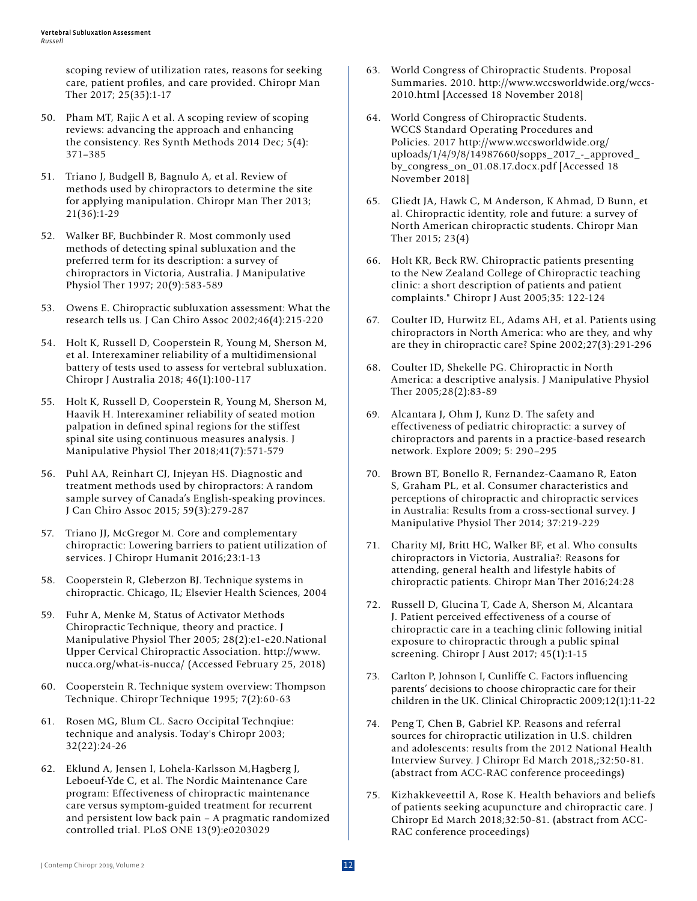scoping review of utilization rates, reasons for seeking care, patient profiles, and care provided. Chiropr Man Ther 2017; 25(35):1-17

- 50. Pham MT, Rajic A et al. A scoping review of scoping reviews: advancing the approach and enhancing the consistency. Res Synth Methods 2014 Dec; 5(4): 371–385
- 51. Triano J, Budgell B, Bagnulo A, et al. Review of methods used by chiropractors to determine the site for applying manipulation. Chiropr Man Ther 2013; 21(36):1-29
- 52. Walker BF, Buchbinder R. Most commonly used methods of detecting spinal subluxation and the preferred term for its description: a survey of chiropractors in Victoria, Australia. J Manipulative Physiol Ther 1997; 20(9):583-589
- 53. Owens E. Chiropractic subluxation assessment: What the research tells us. J Can Chiro Assoc 2002;46(4):215-220
- 54. Holt K, Russell D, Cooperstein R, Young M, Sherson M, et al. Interexaminer reliability of a multidimensional battery of tests used to assess for vertebral subluxation. Chiropr J Australia 2018; 46(1):100-117
- 55. Holt K, Russell D, Cooperstein R, Young M, Sherson M, Haavik H. Interexaminer reliability of seated motion palpation in defined spinal regions for the stiffest spinal site using continuous measures analysis. J Manipulative Physiol Ther 2018;41(7):571-579
- 56. Puhl AA, Reinhart CJ, Injeyan HS. Diagnostic and treatment methods used by chiropractors: A random sample survey of Canada's English-speaking provinces. J Can Chiro Assoc 2015; 59(3):279-287
- 57. Triano JJ, McGregor M. Core and complementary chiropractic: Lowering barriers to patient utilization of services. J Chiropr Humanit 2016;23:1-13
- 58. Cooperstein R, Gleberzon BJ. Technique systems in chiropractic. Chicago, IL; Elsevier Health Sciences, 2004
- 59. Fuhr A, Menke M, Status of Activator Methods Chiropractic Technique, theory and practice. J Manipulative Physiol Ther 2005; 28(2):e1-e20.National Upper Cervical Chiropractic Association. http://www. nucca.org/what-is-nucca/ (Accessed February 25, 2018)
- 60. Cooperstein R. Technique system overview: Thompson Technique. Chiropr Technique 1995; 7(2):60-63
- 61. Rosen MG, Blum CL. Sacro Occipital Technqiue: technique and analysis. Today's Chiropr 2003; 32(22):24-26
- 62. Eklund A, Jensen I, Lohela-Karlsson M,Hagberg J, Leboeuf-Yde C, et al. The Nordic Maintenance Care program: Effectiveness of chiropractic maintenance care versus symptom-guided treatment for recurrent and persistent low back pain – A pragmatic randomized controlled trial. PLoS ONE 13(9):e0203029
- 63. World Congress of Chiropractic Students. Proposal Summaries. 2010. http://www.wccsworldwide.org/wccs-2010.html [Accessed 18 November 2018]
- 64. World Congress of Chiropractic Students. WCCS Standard Operating Procedures and Policies. 2017 http://www.wccsworldwide.org/ uploads/1/4/9/8/14987660/sopps\_2017\_-\_approved\_ by\_congress\_on\_01.08.17.docx.pdf [Accessed 18 November 2018]
- 65. Gliedt JA, Hawk C, M Anderson, K Ahmad, D Bunn, et al. Chiropractic identity, role and future: a survey of North American chiropractic students. Chiropr Man Ther 2015; 23(4)
- 66. Holt KR, Beck RW. Chiropractic patients presenting to the New Zealand College of Chiropractic teaching clinic: a short description of patients and patient complaints." Chiropr J Aust 2005;35: 122-124
- 67. Coulter ID, Hurwitz EL, Adams AH, et al. Patients using chiropractors in North America: who are they, and why are they in chiropractic care? Spine 2002;27(3):291-296
- 68. Coulter ID, Shekelle PG. Chiropractic in North America: a descriptive analysis. J Manipulative Physiol Ther 2005;28(2):83-89
- 69. Alcantara J, Ohm J, Kunz D. The safety and effectiveness of pediatric chiropractic: a survey of chiropractors and parents in a practice-based research network. Explore 2009; 5: 290–295
- 70. Brown BT, Bonello R, Fernandez-Caamano R, Eaton S, Graham PL, et al. Consumer characteristics and perceptions of chiropractic and chiropractic services in Australia: Results from a cross-sectional survey. J Manipulative Physiol Ther 2014; 37:219-229
- 71. Charity MJ, Britt HC, Walker BF, et al. Who consults chiropractors in Victoria, Australia?: Reasons for attending, general health and lifestyle habits of chiropractic patients. Chiropr Man Ther 2016;24:28
- 72. Russell D, Glucina T, Cade A, Sherson M, Alcantara J. Patient perceived effectiveness of a course of chiropractic care in a teaching clinic following initial exposure to chiropractic through a public spinal screening. Chiropr J Aust 2017; 45(1):1-15
- 73. Carlton P, Johnson I, Cunliffe C. Factors influencing parents' decisions to choose chiropractic care for their children in the UK. Clinical Chiropractic 2009;12(1):11-22
- 74. Peng T, Chen B, Gabriel KP. Reasons and referral sources for chiropractic utilization in U.S. children and adolescents: results from the 2012 National Health Interview Survey. J Chiropr Ed March 2018,;32:50-81. (abstract from ACC-RAC conference proceedings)
- 75. Kizhakkeveettil A, Rose K. Health behaviors and beliefs of patients seeking acupuncture and chiropractic care. J Chiropr Ed March 2018;32:50-81. (abstract from ACC-RAC conference proceedings)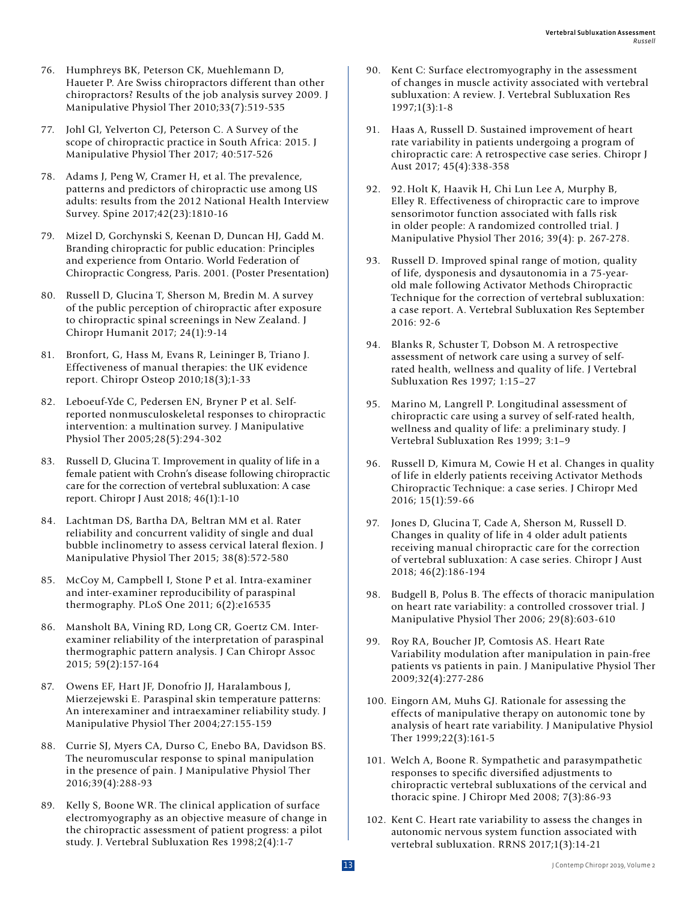- 76. Humphreys BK, Peterson CK, Muehlemann D, Haueter P. Are Swiss chiropractors different than other chiropractors? Results of the job analysis survey 2009. J Manipulative Physiol Ther 2010;33(7):519-535
- 77. Johl Gl, Yelverton CJ, Peterson C. A Survey of the scope of chiropractic practice in South Africa: 2015. J Manipulative Physiol Ther 2017; 40:517-526
- 78. Adams J, Peng W, Cramer H, et al. The prevalence, patterns and predictors of chiropractic use among US adults: results from the 2012 National Health Interview Survey. Spine 2017;42(23):1810-16
- 79. Mizel D, Gorchynski S, Keenan D, Duncan HJ, Gadd M. Branding chiropractic for public education: Principles and experience from Ontario. World Federation of Chiropractic Congress, Paris. 2001. (Poster Presentation)
- 80. Russell D, Glucina T, Sherson M, Bredin M. A survey of the public perception of chiropractic after exposure to chiropractic spinal screenings in New Zealand. J Chiropr Humanit 2017; 24(1):9-14
- 81. Bronfort, G, Hass M, Evans R, Leininger B, Triano J. Effectiveness of manual therapies: the UK evidence report. Chiropr Osteop 2010;18(3);1-33
- 82. Leboeuf-Yde C, Pedersen EN, Bryner P et al. Selfreported nonmusculoskeletal responses to chiropractic intervention: a multination survey. J Manipulative Physiol Ther 2005;28(5):294-302
- 83. Russell D, Glucina T. Improvement in quality of life in a female patient with Crohn's disease following chiropractic care for the correction of vertebral subluxation: A case report. Chiropr J Aust 2018; 46(1):1-10
- 84. Lachtman DS, Bartha DA, Beltran MM et al. Rater reliability and concurrent validity of single and dual bubble inclinometry to assess cervical lateral flexion. J Manipulative Physiol Ther 2015; 38(8):572-580
- 85. McCoy M, Campbell I, Stone P et al. Intra-examiner and inter-examiner reproducibility of paraspinal thermography. PLoS One 2011; 6(2):e16535
- 86. Mansholt BA, Vining RD, Long CR, Goertz CM. Interexaminer reliability of the interpretation of paraspinal thermographic pattern analysis. J Can Chiropr Assoc 2015; 59(2):157-164
- 87. Owens EF, Hart JF, Donofrio JJ, Haralambous J, Mierzejewski E. Paraspinal skin temperature patterns: An interexaminer and intraexaminer reliability study. J Manipulative Physiol Ther 2004;27:155-159
- 88. Currie SJ, Myers CA, Durso C, Enebo BA, Davidson BS. The neuromuscular response to spinal manipulation in the presence of pain. J Manipulative Physiol Ther 2016;39(4):288-93
- 89. Kelly S, Boone WR. The clinical application of surface electromyography as an objective measure of change in the chiropractic assessment of patient progress: a pilot study. J. Vertebral Subluxation Res 1998;2(4):1-7
- 90. Kent C: Surface electromyography in the assessment of changes in muscle activity associated with vertebral subluxation: A review. J. Vertebral Subluxation Res 1997;1(3):1-8
- 91. Haas A, Russell D. Sustained improvement of heart rate variability in patients undergoing a program of chiropractic care: A retrospective case series. Chiropr J Aust 2017; 45(4):338-358
- 92. 92.Holt K, Haavik H, Chi Lun Lee A, Murphy B, Elley R. Effectiveness of chiropractic care to improve sensorimotor function associated with falls risk in older people: A randomized controlled trial. J Manipulative Physiol Ther 2016; 39(4): p. 267-278.
- Russell D. Improved spinal range of motion, quality of life, dysponesis and dysautonomia in a 75-yearold male following Activator Methods Chiropractic Technique for the correction of vertebral subluxation: a case report. A. Vertebral Subluxation Res September 2016: 92-6
- 94. Blanks R, Schuster T, Dobson M. A retrospective assessment of network care using a survey of selfrated health, wellness and quality of life. J Vertebral Subluxation Res 1997; 1:15–27
- 95. Marino M, Langrell P. Longitudinal assessment of chiropractic care using a survey of self-rated health, wellness and quality of life: a preliminary study. J Vertebral Subluxation Res 1999; 3:1–9
- 96. Russell D, Kimura M, Cowie H et al. Changes in quality of life in elderly patients receiving Activator Methods Chiropractic Technique: a case series. J Chiropr Med 2016; 15(1):59-66
- 97. Jones D, Glucina T, Cade A, Sherson M, Russell D. Changes in quality of life in 4 older adult patients receiving manual chiropractic care for the correction of vertebral subluxation: A case series. Chiropr J Aust 2018; 46(2):186-194
- 98. Budgell B, Polus B. The effects of thoracic manipulation on heart rate variability: a controlled crossover trial. J Manipulative Physiol Ther 2006; 29(8):603-610
- 99. Roy RA, Boucher JP, Comtosis AS. Heart Rate Variability modulation after manipulation in pain-free patients vs patients in pain. J Manipulative Physiol Ther 2009;32(4):277-286
- 100. Eingorn AM, Muhs GJ. Rationale for assessing the effects of manipulative therapy on autonomic tone by analysis of heart rate variability. J Manipulative Physiol Ther 1999;22(3):161-5
- 101. Welch A, Boone R. Sympathetic and parasympathetic responses to specific diversified adjustments to chiropractic vertebral subluxations of the cervical and thoracic spine. J Chiropr Med 2008; 7(3):86-93
- 102. Kent C. Heart rate variability to assess the changes in autonomic nervous system function associated with vertebral subluxation. RRNS 2017;1(3):14-21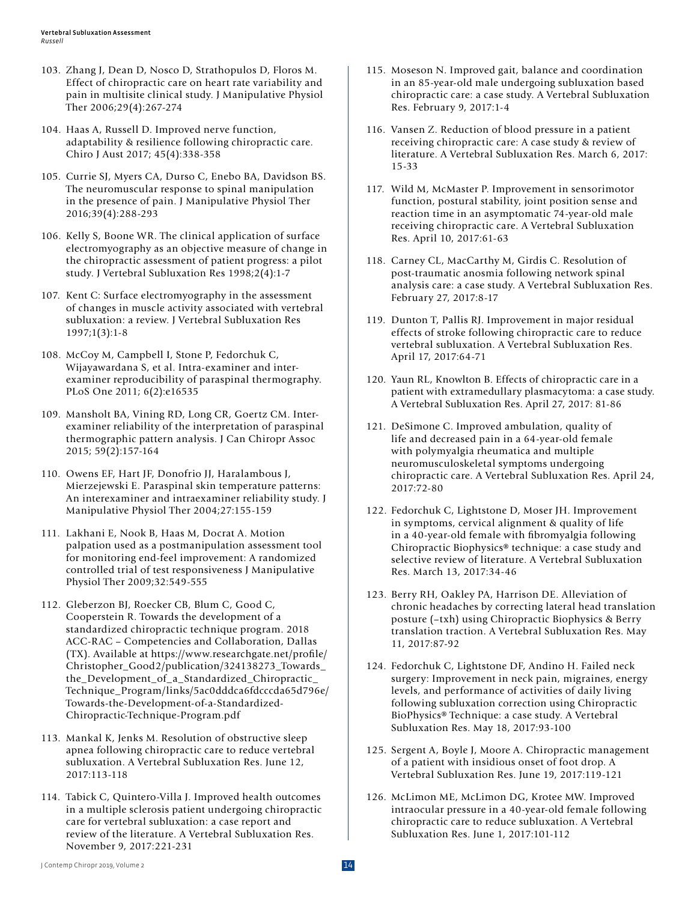- 103. Zhang J, Dean D, Nosco D, Strathopulos D, Floros M. Effect of chiropractic care on heart rate variability and pain in multisite clinical study. J Manipulative Physiol Ther 2006;29(4):267-274
- 104. Haas A, Russell D. Improved nerve function, adaptability & resilience following chiropractic care. Chiro J Aust 2017; 45(4):338-358
- 105. Currie SJ, Myers CA, Durso C, Enebo BA, Davidson BS. The neuromuscular response to spinal manipulation in the presence of pain. J Manipulative Physiol Ther 2016;39(4):288-293
- 106. Kelly S, Boone WR. The clinical application of surface electromyography as an objective measure of change in the chiropractic assessment of patient progress: a pilot study. J Vertebral Subluxation Res 1998;2(4):1-7
- 107. Kent C: Surface electromyography in the assessment of changes in muscle activity associated with vertebral subluxation: a review. J Vertebral Subluxation Res 1997;1(3):1-8
- 108. McCoy M, Campbell I, Stone P, Fedorchuk C, Wijayawardana S, et al. Intra-examiner and interexaminer reproducibility of paraspinal thermography. PLoS One 2011; 6(2):e16535
- 109. Mansholt BA, Vining RD, Long CR, Goertz CM. Interexaminer reliability of the interpretation of paraspinal thermographic pattern analysis. J Can Chiropr Assoc 2015; 59(2):157-164
- 110. Owens EF, Hart JF, Donofrio JJ, Haralambous J, Mierzejewski E. Paraspinal skin temperature patterns: An interexaminer and intraexaminer reliability study. J Manipulative Physiol Ther 2004;27:155-159
- 111. Lakhani E, Nook B, Haas M, Docrat A. Motion palpation used as a postmanipulation assessment tool for monitoring end-feel improvement: A randomized controlled trial of test responsiveness J Manipulative Physiol Ther 2009;32:549-555
- 112. Gleberzon BJ, Roecker CB, Blum C, Good C, Cooperstein R. Towards the development of a standardized chiropractic technique program. 2018 ACC-RAC – Competencies and Collaboration, Dallas (TX). Available at https://www.researchgate.net/profile/ Christopher\_Good2/publication/324138273\_Towards\_ the\_Development\_of\_a\_Standardized\_Chiropractic\_ Technique\_Program/links/5ac0dddca6fdcccda65d796e/ Towards-the-Development-of-a-Standardized-Chiropractic-Technique-Program.pdf
- 113. Mankal K, Jenks M. Resolution of obstructive sleep apnea following chiropractic care to reduce vertebral subluxation. A Vertebral Subluxation Res. June 12, 2017:113-118
- 114. Tabick C, Quintero-Villa J. Improved health outcomes in a multiple sclerosis patient undergoing chiropractic care for vertebral subluxation: a case report and review of the literature. A Vertebral Subluxation Res. November 9, 2017:221-231
- 115. Moseson N. Improved gait, balance and coordination in an 85-year-old male undergoing subluxation based chiropractic care: a case study. A Vertebral Subluxation Res. February 9, 2017:1-4
- 116. Vansen Z. Reduction of blood pressure in a patient receiving chiropractic care: A case study & review of literature. A Vertebral Subluxation Res. March 6, 2017: 15-33
- 117. Wild M, McMaster P. Improvement in sensorimotor function, postural stability, joint position sense and reaction time in an asymptomatic 74-year-old male receiving chiropractic care. A Vertebral Subluxation Res. April 10, 2017:61-63
- 118. Carney CL, MacCarthy M, Girdis C. Resolution of post-traumatic anosmia following network spinal analysis care: a case study. A Vertebral Subluxation Res. February 27, 2017:8-17
- 119. Dunton T, Pallis RJ. Improvement in major residual effects of stroke following chiropractic care to reduce vertebral subluxation. A Vertebral Subluxation Res. April 17, 2017:64-71
- 120. Yaun RL, Knowlton B. Effects of chiropractic care in a patient with extramedullary plasmacytoma: a case study. A Vertebral Subluxation Res. April 27, 2017: 81-86
- 121. DeSimone C. Improved ambulation, quality of life and decreased pain in a 64-year-old female with polymyalgia rheumatica and multiple neuromusculoskeletal symptoms undergoing chiropractic care. A Vertebral Subluxation Res. April 24, 2017:72-80
- 122. Fedorchuk C, Lightstone D, Moser JH. Improvement in symptoms, cervical alignment & quality of life in a 40-year-old female with fibromyalgia following Chiropractic Biophysics® technique: a case study and selective review of literature. A Vertebral Subluxation Res. March 13, 2017:34-46
- 123. Berry RH, Oakley PA, Harrison DE. Alleviation of chronic headaches by correcting lateral head translation posture (–txh) using Chiropractic Biophysics & Berry translation traction. A Vertebral Subluxation Res. May 11, 2017:87-92
- 124. Fedorchuk C, Lightstone DF, Andino H. Failed neck surgery: Improvement in neck pain, migraines, energy levels, and performance of activities of daily living following subluxation correction using Chiropractic BioPhysics® Technique: a case study. A Vertebral Subluxation Res. May 18, 2017:93-100
- 125. Sergent A, Boyle J, Moore A. Chiropractic management of a patient with insidious onset of foot drop. A Vertebral Subluxation Res. June 19, 2017:119-121
- 126. McLimon ME, McLimon DG, Krotee MW. Improved intraocular pressure in a 40-year-old female following chiropractic care to reduce subluxation. A Vertebral Subluxation Res. June 1, 2017:101-112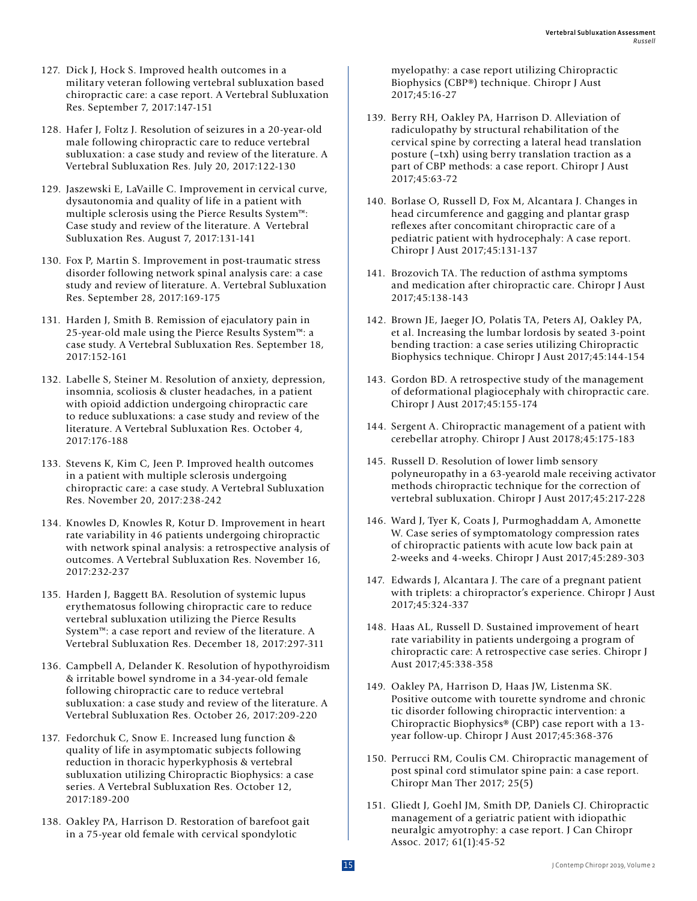- 127. Dick J, Hock S. Improved health outcomes in a military veteran following vertebral subluxation based chiropractic care: a case report. A Vertebral Subluxation Res. September 7, 2017:147-151
- 128. Hafer J, Foltz J. Resolution of seizures in a 20-year-old male following chiropractic care to reduce vertebral subluxation: a case study and review of the literature. A Vertebral Subluxation Res. July 20, 2017:122-130
- 129. Jaszewski E, LaVaille C. Improvement in cervical curve, dysautonomia and quality of life in a patient with multiple sclerosis using the Pierce Results System™: Case study and review of the literature. A Vertebral Subluxation Res. August 7, 2017:131-141
- 130. Fox P, Martin S. Improvement in post-traumatic stress disorder following network spinal analysis care: a case study and review of literature. A. Vertebral Subluxation Res. September 28, 2017:169-175
- 131. Harden J, Smith B. Remission of ejaculatory pain in 25-year-old male using the Pierce Results System™: a case study. A Vertebral Subluxation Res. September 18, 2017:152-161
- 132. Labelle S, Steiner M. Resolution of anxiety, depression, insomnia, scoliosis & cluster headaches, in a patient with opioid addiction undergoing chiropractic care to reduce subluxations: a case study and review of the literature. A Vertebral Subluxation Res. October 4, 2017:176-188
- 133. Stevens K, Kim C, Jeen P. Improved health outcomes in a patient with multiple sclerosis undergoing chiropractic care: a case study. A Vertebral Subluxation Res. November 20, 2017:238-242
- 134. Knowles D, Knowles R, Kotur D. Improvement in heart rate variability in 46 patients undergoing chiropractic with network spinal analysis: a retrospective analysis of outcomes. A Vertebral Subluxation Res. November 16, 2017:232-237
- 135. Harden J, Baggett BA. Resolution of systemic lupus erythematosus following chiropractic care to reduce vertebral subluxation utilizing the Pierce Results System™: a case report and review of the literature. A Vertebral Subluxation Res. December 18, 2017:297-311
- 136. Campbell A, Delander K. Resolution of hypothyroidism & irritable bowel syndrome in a 34-year-old female following chiropractic care to reduce vertebral subluxation: a case study and review of the literature. A Vertebral Subluxation Res. October 26, 2017:209-220
- 137. Fedorchuk C, Snow E. Increased lung function & quality of life in asymptomatic subjects following reduction in thoracic hyperkyphosis & vertebral subluxation utilizing Chiropractic Biophysics: a case series. A Vertebral Subluxation Res. October 12, 2017:189-200
- 138. Oakley PA, Harrison D. Restoration of barefoot gait in a 75-year old female with cervical spondylotic

myelopathy: a case report utilizing Chiropractic Biophysics (CBP®) technique. Chiropr J Aust 2017;45:16-27

- 139. Berry RH, Oakley PA, Harrison D. Alleviation of radiculopathy by structural rehabilitation of the cervical spine by correcting a lateral head translation posture (–txh) using berry translation traction as a part of CBP methods: a case report. Chiropr J Aust 2017;45:63-72
- 140. Borlase O, Russell D, Fox M, Alcantara J. Changes in head circumference and gagging and plantar grasp reflexes after concomitant chiropractic care of a pediatric patient with hydrocephaly: A case report. Chiropr J Aust 2017;45:131-137
- 141. Brozovich TA. The reduction of asthma symptoms and medication after chiropractic care. Chiropr J Aust 2017;45:138-143
- 142. Brown JE, Jaeger JO, Polatis TA, Peters AJ, Oakley PA, et al. Increasing the lumbar lordosis by seated 3-point bending traction: a case series utilizing Chiropractic Biophysics technique. Chiropr J Aust 2017;45:144-154
- 143. Gordon BD. A retrospective study of the management of deformational plagiocephaly with chiropractic care. Chiropr J Aust 2017;45:155-174
- 144. Sergent A. Chiropractic management of a patient with cerebellar atrophy. Chiropr J Aust 20178;45:175-183
- 145. Russell D. Resolution of lower limb sensory polyneuropathy in a 63-yearold male receiving activator methods chiropractic technique for the correction of vertebral subluxation. Chiropr J Aust 2017;45:217-228
- 146. Ward J, Tyer K, Coats J, Purmoghaddam A, Amonette W. Case series of symptomatology compression rates of chiropractic patients with acute low back pain at 2-weeks and 4-weeks. Chiropr J Aust 2017;45:289-303
- 147. Edwards J, Alcantara J. The care of a pregnant patient with triplets: a chiropractor's experience. Chiropr J Aust 2017;45:324-337
- 148. Haas AL, Russell D. Sustained improvement of heart rate variability in patients undergoing a program of chiropractic care: A retrospective case series. Chiropr J Aust 2017;45:338-358
- 149. Oakley PA, Harrison D, Haas JW, Listenma SK. Positive outcome with tourette syndrome and chronic tic disorder following chiropractic intervention: a Chiropractic Biophysics® (CBP) case report with a 13 year follow-up. Chiropr J Aust 2017;45:368-376
- 150. Perrucci RM, Coulis CM. Chiropractic management of post spinal cord stimulator spine pain: a case report. Chiropr Man Ther 2017; 25(5)
- 151. Gliedt J, Goehl JM, Smith DP, Daniels CJ. Chiropractic management of a geriatric patient with idiopathic neuralgic amyotrophy: a case report. J Can Chiropr Assoc. 2017; 61(1):45-52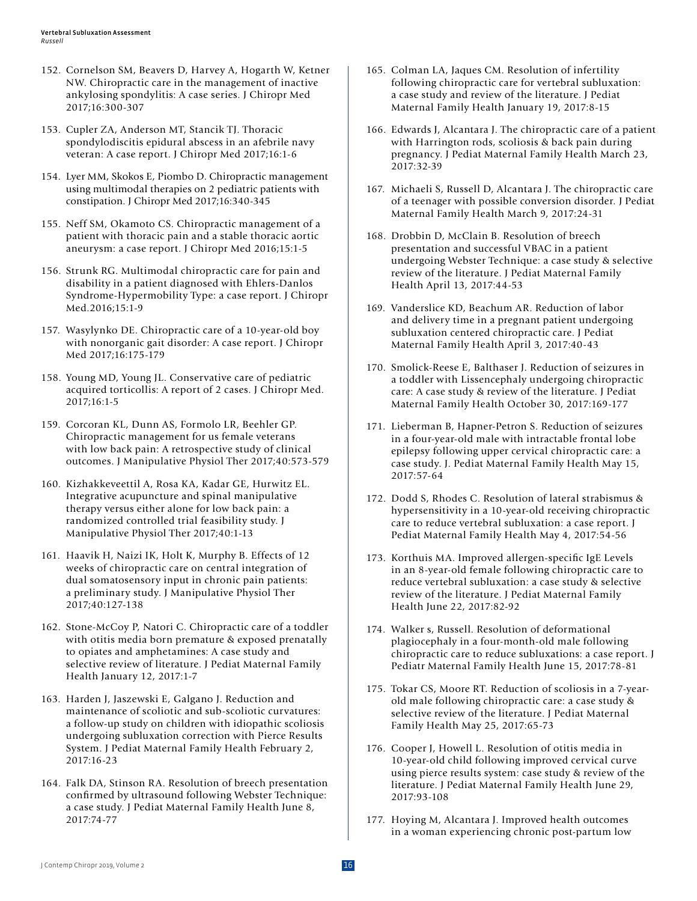- 152. Cornelson SM, Beavers D, Harvey A, Hogarth W, Ketner NW. Chiropractic care in the management of inactive ankylosing spondylitis: A case series. J Chiropr Med 2017;16:300-307
- 153. Cupler ZA, Anderson MT, Stancik TJ. Thoracic spondylodiscitis epidural abscess in an afebrile navy veteran: A case report. J Chiropr Med 2017;16:1-6
- 154. Lyer MM, Skokos E, Piombo D. Chiropractic management using multimodal therapies on 2 pediatric patients with constipation. J Chiropr Med 2017;16:340-345
- 155. Neff SM, Okamoto CS. Chiropractic management of a patient with thoracic pain and a stable thoracic aortic aneurysm: a case report. J Chiropr Med 2016;15:1-5
- 156. Strunk RG. Multimodal chiropractic care for pain and disability in a patient diagnosed with Ehlers-Danlos Syndrome-Hypermobility Type: a case report. J Chiropr Med.2016;15:1-9
- 157. Wasylynko DE. Chiropractic care of a 10-year-old boy with nonorganic gait disorder: A case report. J Chiropr Med 2017;16:175-179
- 158. Young MD, Young JL. Conservative care of pediatric acquired torticollis: A report of 2 cases. J Chiropr Med. 2017;16:1-5
- 159. Corcoran KL, Dunn AS, Formolo LR, Beehler GP. Chiropractic management for us female veterans with low back pain: A retrospective study of clinical outcomes. J Manipulative Physiol Ther 2017;40:573-579
- 160. Kizhakkeveettil A, Rosa KA, Kadar GE, Hurwitz EL. Integrative acupuncture and spinal manipulative therapy versus either alone for low back pain: a randomized controlled trial feasibility study. J Manipulative Physiol Ther 2017;40:1-13
- 161. Haavik H, Naizi IK, Holt K, Murphy B. Effects of 12 weeks of chiropractic care on central integration of dual somatosensory input in chronic pain patients: a preliminary study. J Manipulative Physiol Ther 2017;40:127-138
- 162. Stone-McCoy P, Natori C. Chiropractic care of a toddler with otitis media born premature & exposed prenatally to opiates and amphetamines: A case study and selective review of literature. J Pediat Maternal Family Health January 12, 2017:1-7
- 163. Harden J, Jaszewski E, Galgano J. Reduction and maintenance of scoliotic and sub-scoliotic curvatures: a follow-up study on children with idiopathic scoliosis undergoing subluxation correction with Pierce Results System. J Pediat Maternal Family Health February 2, 2017:16-23
- 164. Falk DA, Stinson RA. Resolution of breech presentation confirmed by ultrasound following Webster Technique: a case study. J Pediat Maternal Family Health June 8, 2017:74-77
- 165. Colman LA, Jaques CM. Resolution of infertility following chiropractic care for vertebral subluxation: a case study and review of the literature. J Pediat Maternal Family Health January 19, 2017:8-15
- 166. Edwards J, Alcantara J. The chiropractic care of a patient with Harrington rods, scoliosis & back pain during pregnancy. J Pediat Maternal Family Health March 23, 2017:32-39
- 167. Michaeli S, Russell D, Alcantara J. The chiropractic care of a teenager with possible conversion disorder. J Pediat Maternal Family Health March 9, 2017:24-31
- 168. Drobbin D, McClain B. Resolution of breech presentation and successful VBAC in a patient undergoing Webster Technique: a case study & selective review of the literature. J Pediat Maternal Family Health April 13, 2017:44-53
- 169. Vanderslice KD, Beachum AR. Reduction of labor and delivery time in a pregnant patient undergoing subluxation centered chiropractic care. J Pediat Maternal Family Health April 3, 2017:40-43
- 170. Smolick-Reese E, Balthaser J. Reduction of seizures in a toddler with Lissencephaly undergoing chiropractic care: A case study & review of the literature. J Pediat Maternal Family Health October 30, 2017:169-177
- 171. Lieberman B, Hapner-Petron S. Reduction of seizures in a four-year-old male with intractable frontal lobe epilepsy following upper cervical chiropractic care: a case study. J. Pediat Maternal Family Health May 15, 2017:57-64
- 172. Dodd S, Rhodes C. Resolution of lateral strabismus & hypersensitivity in a 10-year-old receiving chiropractic care to reduce vertebral subluxation: a case report. J Pediat Maternal Family Health May 4, 2017:54-56
- 173. Korthuis MA. Improved allergen-specific IgE Levels in an 8-year-old female following chiropractic care to reduce vertebral subluxation: a case study & selective review of the literature. J Pediat Maternal Family Health June 22, 2017:82-92
- 174. Walker s, Russell. Resolution of deformational plagiocephaly in a four-month-old male following chiropractic care to reduce subluxations: a case report. J Pediatr Maternal Family Health June 15, 2017:78-81
- 175. Tokar CS, Moore RT. Reduction of scoliosis in a 7-yearold male following chiropractic care: a case study & selective review of the literature. J Pediat Maternal Family Health May 25, 2017:65-73
- 176. Cooper J, Howell L. Resolution of otitis media in 10-year-old child following improved cervical curve using pierce results system: case study & review of the literature. J Pediat Maternal Family Health June 29, 2017:93-108
- 177. Hoying M, Alcantara J. Improved health outcomes in a woman experiencing chronic post-partum low